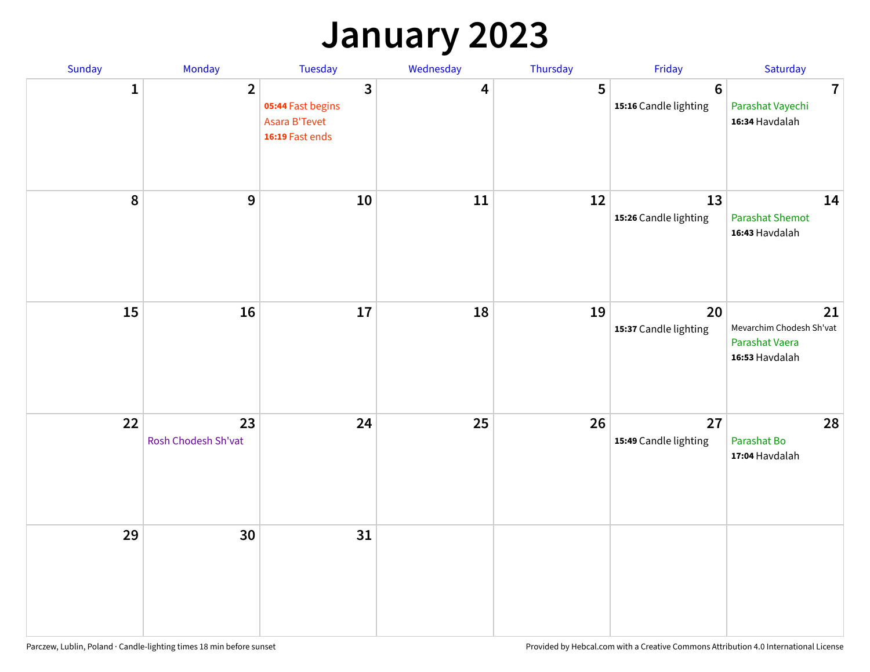## **January 2023**

| Sunday           | Monday                    | Tuesday                                                                                 | Wednesday | Thursday | Friday                                   | Saturday                                                           |
|------------------|---------------------------|-----------------------------------------------------------------------------------------|-----------|----------|------------------------------------------|--------------------------------------------------------------------|
| 1                | $\overline{2}$            | $\overline{\mathbf{3}}$<br>05:44 Fast begins<br><b>Asara B'Tevet</b><br>16:19 Fast ends | 4         | 5        | $6\phantom{1}6$<br>15:16 Candle lighting | $\overline{7}$<br>Parashat Vayechi<br>16:34 Havdalah               |
| $\boldsymbol{8}$ | $\boldsymbol{9}$          | 10                                                                                      | 11        | 12       | 13<br>15:26 Candle lighting              | 14<br><b>Parashat Shemot</b><br>16:43 Havdalah                     |
| 15               | 16                        | 17                                                                                      | 18        | 19       | 20<br>15:37 Candle lighting              | 21<br>Mevarchim Chodesh Sh'vat<br>Parashat Vaera<br>16:53 Havdalah |
| 22               | 23<br>Rosh Chodesh Sh'vat | 24                                                                                      | 25        | 26       | 27<br>15:49 Candle lighting              | 28<br>Parashat Bo<br>17:04 Havdalah                                |
| 29               | 30                        | 31                                                                                      |           |          |                                          |                                                                    |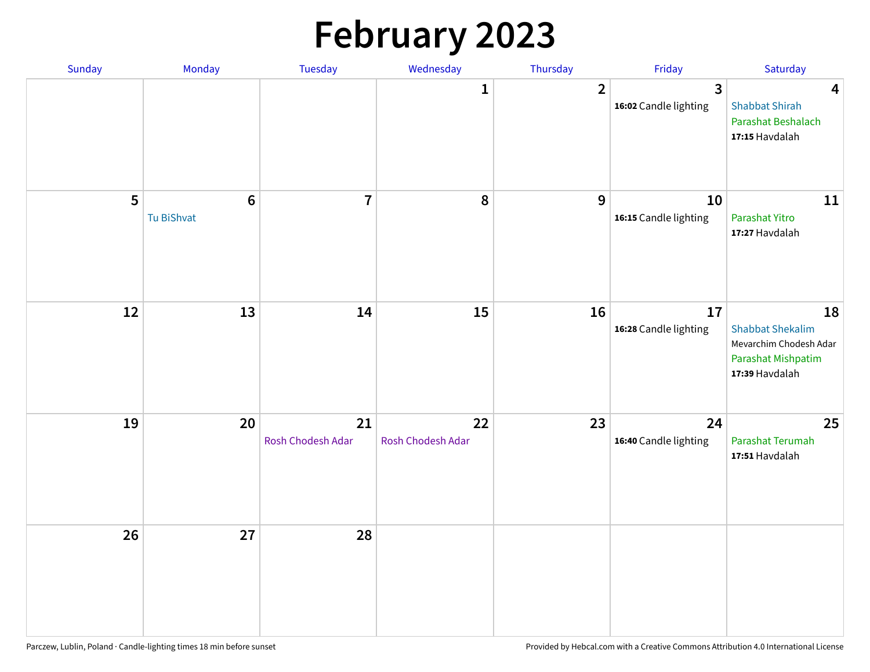# **February 2023**

| Sunday | Monday                        | Tuesday                 | Wednesday               | Thursday       | Friday                                  | Saturday                                                                                        |
|--------|-------------------------------|-------------------------|-------------------------|----------------|-----------------------------------------|-------------------------------------------------------------------------------------------------|
|        |                               |                         | 1                       | $\overline{2}$ | $\overline{3}$<br>16:02 Candle lighting | $\overline{\mathbf{4}}$<br><b>Shabbat Shirah</b><br>Parashat Beshalach<br>17:15 Havdalah        |
| 5      | $6\phantom{1}6$<br>Tu BiShvat | $\overline{7}$          | 8                       | 9              | 10<br>16:15 Candle lighting             | 11<br>Parashat Yitro<br>17:27 Havdalah                                                          |
| 12     | 13                            | 14                      | 15                      | 16             | 17<br>16:28 Candle lighting             | 18<br><b>Shabbat Shekalim</b><br>Mevarchim Chodesh Adar<br>Parashat Mishpatim<br>17:39 Havdalah |
| 19     | 20                            | 21<br>Rosh Chodesh Adar | 22<br>Rosh Chodesh Adar | 23             | 24<br>16:40 Candle lighting             | 25<br>Parashat Terumah<br>17:51 Havdalah                                                        |
| 26     | 27                            | 28                      |                         |                |                                         |                                                                                                 |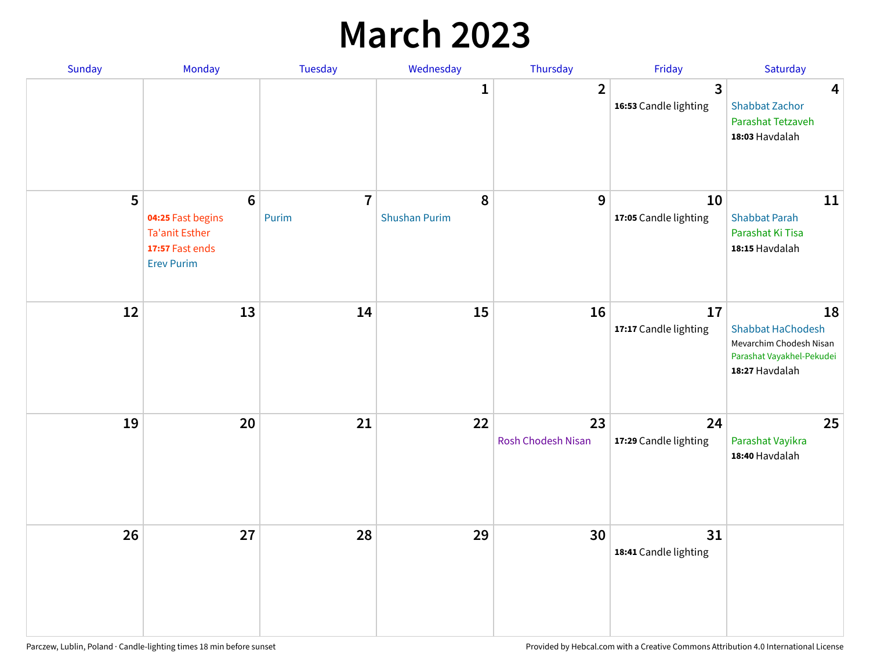## **March 2023**

| Sunday | Monday                                                                                               | Tuesday                 | Wednesday                 | Thursday                 | Friday                      | Saturday                                                                                                 |
|--------|------------------------------------------------------------------------------------------------------|-------------------------|---------------------------|--------------------------|-----------------------------|----------------------------------------------------------------------------------------------------------|
|        |                                                                                                      |                         | 1                         | $\overline{2}$           | 3<br>16:53 Candle lighting  | $\overline{\mathbf{4}}$<br><b>Shabbat Zachor</b><br>Parashat Tetzaveh<br>18:03 Havdalah                  |
| 5      | $6\phantom{a}$<br>04:25 Fast begins<br><b>Ta'anit Esther</b><br>17:57 Fast ends<br><b>Erev Purim</b> | $\overline{7}$<br>Purim | 8<br><b>Shushan Purim</b> | 9                        | 10<br>17:05 Candle lighting | 11<br><b>Shabbat Parah</b><br>Parashat Ki Tisa<br>18:15 Havdalah                                         |
| 12     | 13                                                                                                   | 14                      | 15                        | 16                       | 17<br>17:17 Candle lighting | 18<br><b>Shabbat HaChodesh</b><br>Mevarchim Chodesh Nisan<br>Parashat Vayakhel-Pekudei<br>18:27 Havdalah |
| 19     | 20                                                                                                   | 21                      | 22                        | 23<br>Rosh Chodesh Nisan | 24<br>17:29 Candle lighting | 25<br>Parashat Vayikra<br>18:40 Havdalah                                                                 |
| 26     | 27                                                                                                   | 28                      | 29                        | 30                       | 31<br>18:41 Candle lighting |                                                                                                          |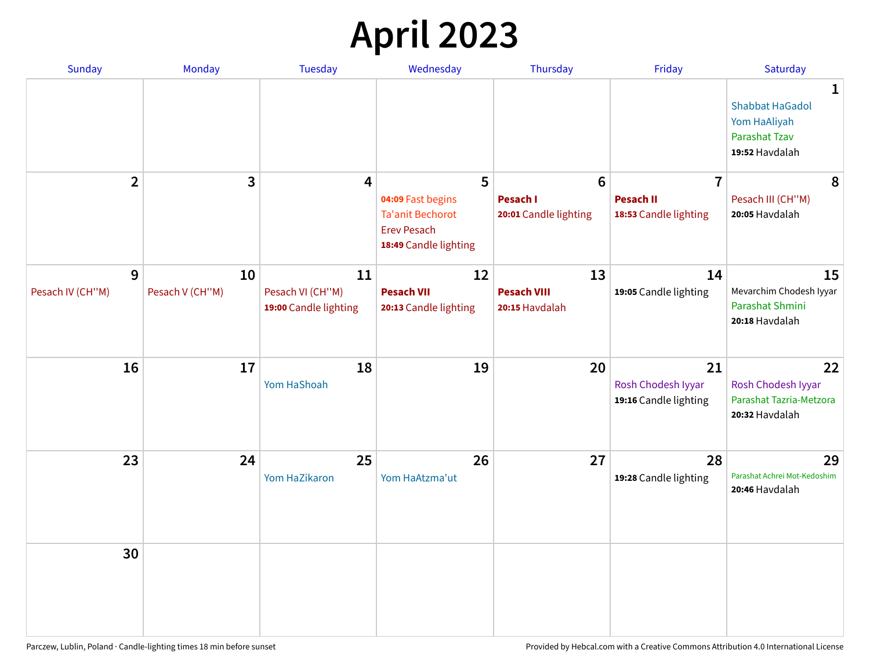# **April 2023**

| Sunday                | <b>Monday</b>         | <b>Tuesday</b>                                  | Wednesday                                                                                   | Thursday                                   | Friday                                            | Saturday                                                                                         |
|-----------------------|-----------------------|-------------------------------------------------|---------------------------------------------------------------------------------------------|--------------------------------------------|---------------------------------------------------|--------------------------------------------------------------------------------------------------|
|                       |                       |                                                 |                                                                                             |                                            |                                                   | $\mathbf{1}$<br><b>Shabbat HaGadol</b><br>Yom HaAliyah<br><b>Parashat Tzav</b><br>19:52 Havdalah |
| $\overline{2}$        | 3                     | 4                                               | 5                                                                                           | $6\phantom{1}$                             | $\overline{7}$                                    | 8                                                                                                |
|                       |                       |                                                 | 04:09 Fast begins<br><b>Ta'anit Bechorot</b><br><b>Erev Pesach</b><br>18:49 Candle lighting | Pesach I<br>20:01 Candle lighting          | <b>Pesach II</b><br>18:53 Candle lighting         | Pesach III (CH"M)<br>20:05 Havdalah                                                              |
| 9<br>Pesach IV (CH"M) | 10<br>Pesach V (CH"M) | 11<br>Pesach VI (CH"M)<br>19:00 Candle lighting | 12<br><b>Pesach VII</b><br>20:13 Candle lighting                                            | 13<br><b>Pesach VIII</b><br>20:15 Havdalah | 14<br>19:05 Candle lighting                       | 15<br>Mevarchim Chodesh Iyyar<br>Parashat Shmini<br>20:18 Havdalah                               |
| 16                    | 17                    | 18<br>Yom HaShoah                               | 19                                                                                          | 20                                         | 21<br>Rosh Chodesh Iyyar<br>19:16 Candle lighting | 22<br>Rosh Chodesh Iyyar<br>Parashat Tazria-Metzora<br>20:32 Havdalah                            |
| 23                    | 24                    | 25<br>Yom HaZikaron                             | 26<br>Yom HaAtzma'ut                                                                        | 27                                         | 28<br>19:28 Candle lighting                       | 29<br>Parashat Achrei Mot-Kedoshim<br>20:46 Havdalah                                             |
| 30                    |                       |                                                 |                                                                                             |                                            |                                                   |                                                                                                  |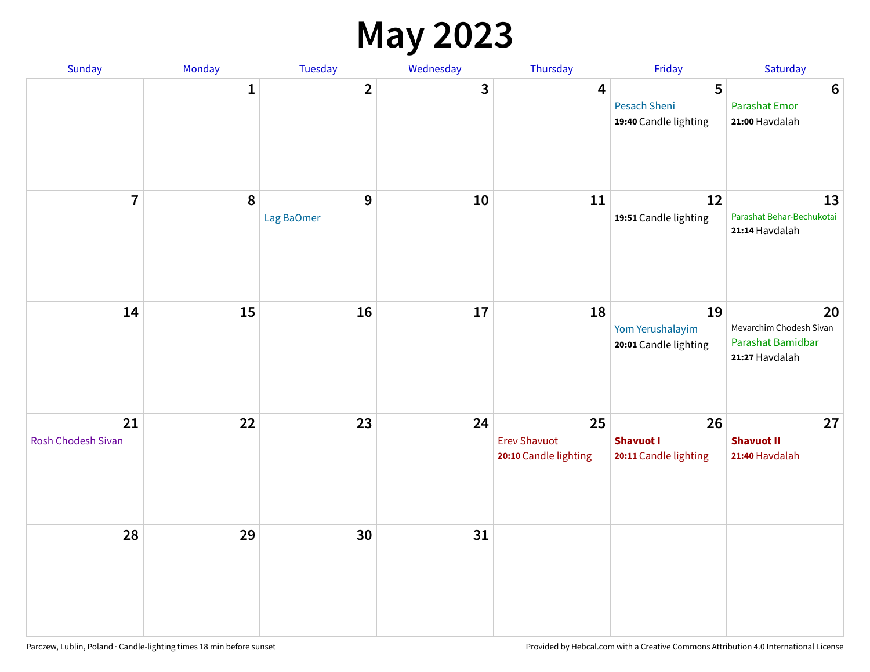#### **May 2023**

| Sunday                          | Monday       | Tuesday                 | Wednesday | Thursday                                           | Friday                                            | Saturday                                                             |
|---------------------------------|--------------|-------------------------|-----------|----------------------------------------------------|---------------------------------------------------|----------------------------------------------------------------------|
|                                 | $\mathbf{1}$ | $\overline{\mathbf{2}}$ | 3         | $\overline{\mathbf{4}}$                            | 5<br><b>Pesach Sheni</b><br>19:40 Candle lighting | $\boldsymbol{6}$<br><b>Parashat Emor</b><br>21:00 Havdalah           |
| $\overline{7}$                  | $\pmb{8}$    | 9<br>Lag BaOmer         | 10        | 11                                                 | 12<br>19:51 Candle lighting                       | 13<br>Parashat Behar-Bechukotai<br>21:14 Havdalah                    |
| 14                              | 15           | 16                      | $17\,$    | 18                                                 | 19<br>Yom Yerushalayim<br>20:01 Candle lighting   | 20<br>Mevarchim Chodesh Sivan<br>Parashat Bamidbar<br>21:27 Havdalah |
| 21<br><b>Rosh Chodesh Sivan</b> | 22           | 23                      | 24        | 25<br><b>Erev Shavuot</b><br>20:10 Candle lighting | 26<br><b>Shavuot I</b><br>20:11 Candle lighting   | 27<br><b>Shavuot II</b><br>21:40 Havdalah                            |
| 28                              | 29           | 30                      | 31        |                                                    |                                                   |                                                                      |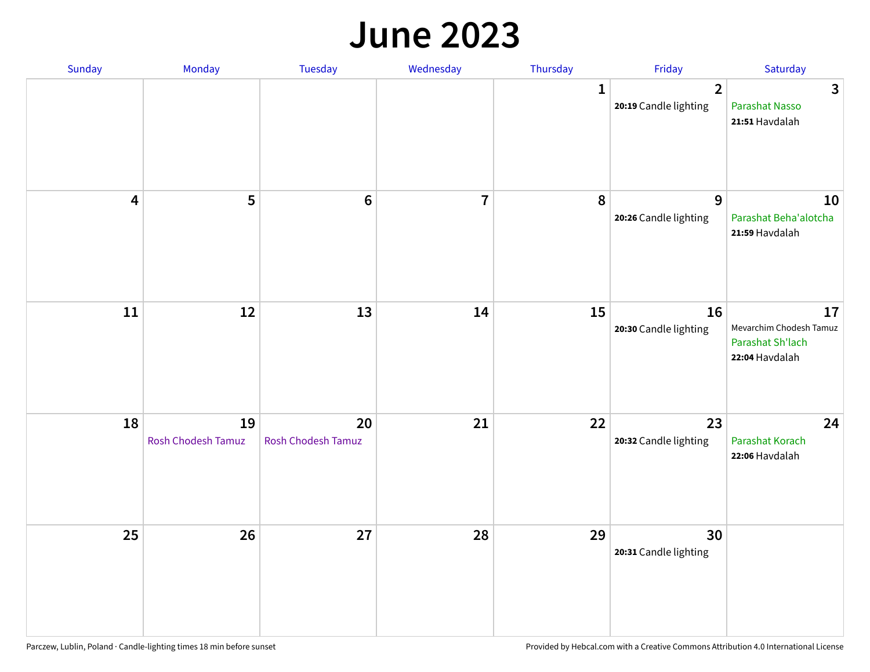#### **June 2023**

| Sunday                  | Monday                   | Tuesday                         | Wednesday      | Thursday     | Friday                                  | Saturday                                                            |
|-------------------------|--------------------------|---------------------------------|----------------|--------------|-----------------------------------------|---------------------------------------------------------------------|
|                         |                          |                                 |                | $\mathbf{1}$ | $\overline{2}$<br>20:19 Candle lighting | $\mathbf{3}$<br>Parashat Nasso<br>21:51 Havdalah                    |
| $\overline{\mathbf{4}}$ | 5                        | $\bf 6$                         | $\overline{7}$ | 8            | 9<br>20:26 Candle lighting              | 10<br>Parashat Beha'alotcha<br>21:59 Havdalah                       |
| $11\,$                  | 12                       | 13                              | 14             | 15           | 16<br>20:30 Candle lighting             | 17<br>Mevarchim Chodesh Tamuz<br>Parashat Sh'lach<br>22:04 Havdalah |
| 18                      | 19<br>Rosh Chodesh Tamuz | 20<br><b>Rosh Chodesh Tamuz</b> | 21             | 22           | 23<br>20:32 Candle lighting             | 24<br>Parashat Korach<br>22:06 Havdalah                             |
| 25                      | 26                       | 27                              | 28             | 29           | 30<br>20:31 Candle lighting             |                                                                     |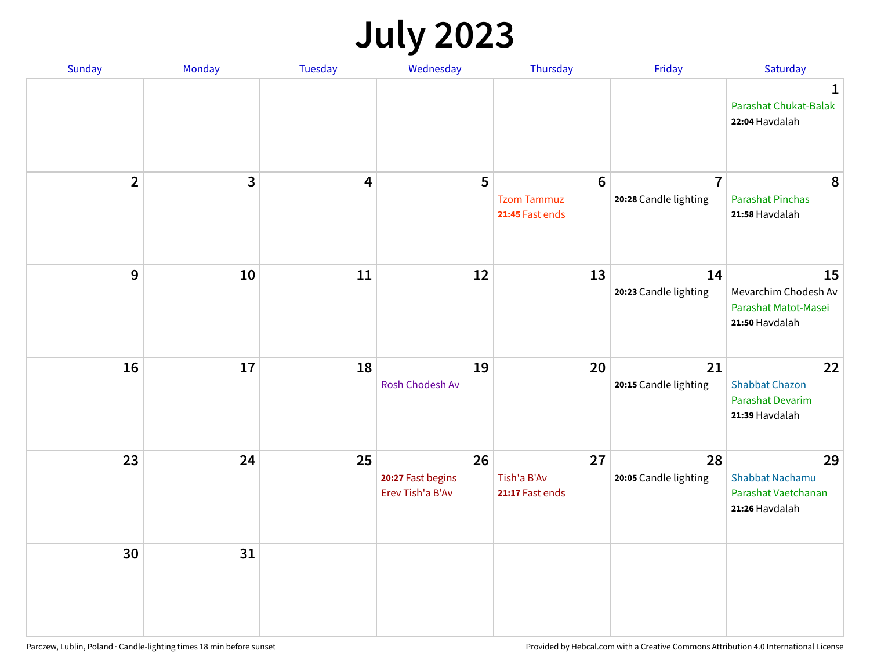# **July 2023**

| Sunday         | Monday       | <b>Tuesday</b> | Wednesday                                   | Thursday                                                 | Friday                                  | Saturday                                                              |
|----------------|--------------|----------------|---------------------------------------------|----------------------------------------------------------|-----------------------------------------|-----------------------------------------------------------------------|
|                |              |                |                                             |                                                          |                                         | $\mathbf 1$<br>Parashat Chukat-Balak<br>22:04 Havdalah                |
| $\overline{2}$ | $\mathbf{3}$ | 4              | 5                                           | $6\phantom{1}6$<br><b>Tzom Tammuz</b><br>21:45 Fast ends | $\overline{7}$<br>20:28 Candle lighting | 8<br><b>Parashat Pinchas</b><br>21:58 Havdalah                        |
| 9              | 10           | 11             | 12                                          | 13                                                       | 14<br>20:23 Candle lighting             | 15<br>Mevarchim Chodesh Av<br>Parashat Matot-Masei<br>21:50 Havdalah  |
| 16             | 17           | 18             | 19<br>Rosh Chodesh Av                       | 20                                                       | 21<br>20:15 Candle lighting             | 22<br><b>Shabbat Chazon</b><br>Parashat Devarim<br>21:39 Havdalah     |
| 23             | 24           | 25             | 26<br>20:27 Fast begins<br>Erev Tish'a B'Av | 27<br>Tish'a B'Av<br>21:17 Fast ends                     | 28<br>20:05 Candle lighting             | 29<br><b>Shabbat Nachamu</b><br>Parashat Vaetchanan<br>21:26 Havdalah |
| 30             | 31           |                |                                             |                                                          |                                         |                                                                       |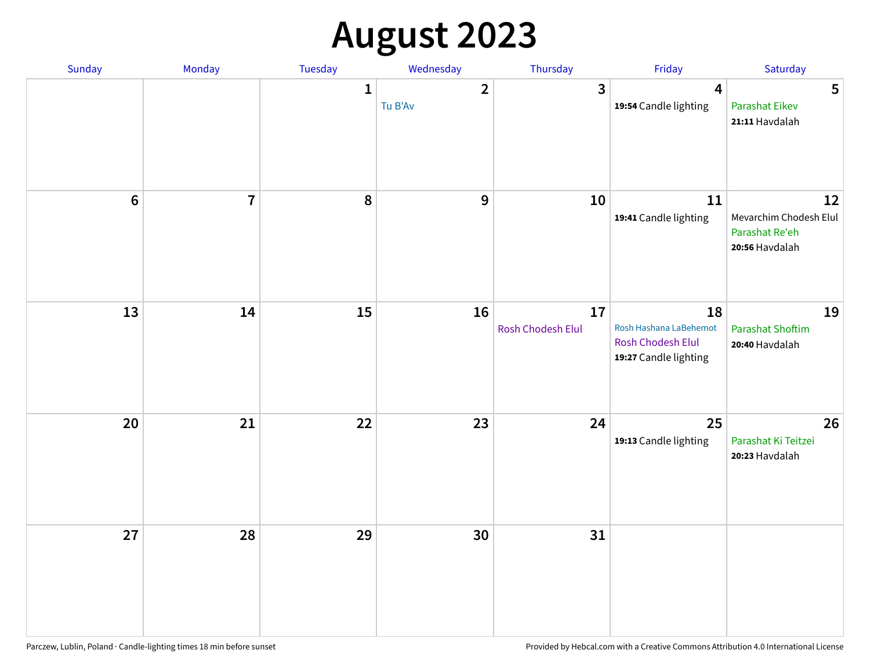# **August 2023**

| Sunday         | Monday         | Tuesday      | Wednesday                 | Thursday                | Friday                                                                     | Saturday                                                         |
|----------------|----------------|--------------|---------------------------|-------------------------|----------------------------------------------------------------------------|------------------------------------------------------------------|
|                |                | $\mathbf{1}$ | $\overline{2}$<br>Tu B'Av | $\overline{3}$          | $\overline{4}$<br>19:54 Candle lighting                                    | 5<br><b>Parashat Eikev</b><br>21:11 Havdalah                     |
| $6\phantom{1}$ | $\overline{7}$ | 8            | $\boldsymbol{9}$          | 10                      | ${\bf 11}$<br>19:41 Candle lighting                                        | 12<br>Mevarchim Chodesh Elul<br>Parashat Re'eh<br>20:56 Havdalah |
| 13             | 14             | 15           | 16                        | 17<br>Rosh Chodesh Elul | 18<br>Rosh Hashana LaBehemot<br>Rosh Chodesh Elul<br>19:27 Candle lighting | 19<br><b>Parashat Shoftim</b><br>20:40 Havdalah                  |
| 20             | 21             | 22           | 23                        | 24                      | 25<br>19:13 Candle lighting                                                | 26<br>Parashat Ki Teitzei<br>20:23 Havdalah                      |
| 27             | 28             | 29           | 30                        | 31                      |                                                                            |                                                                  |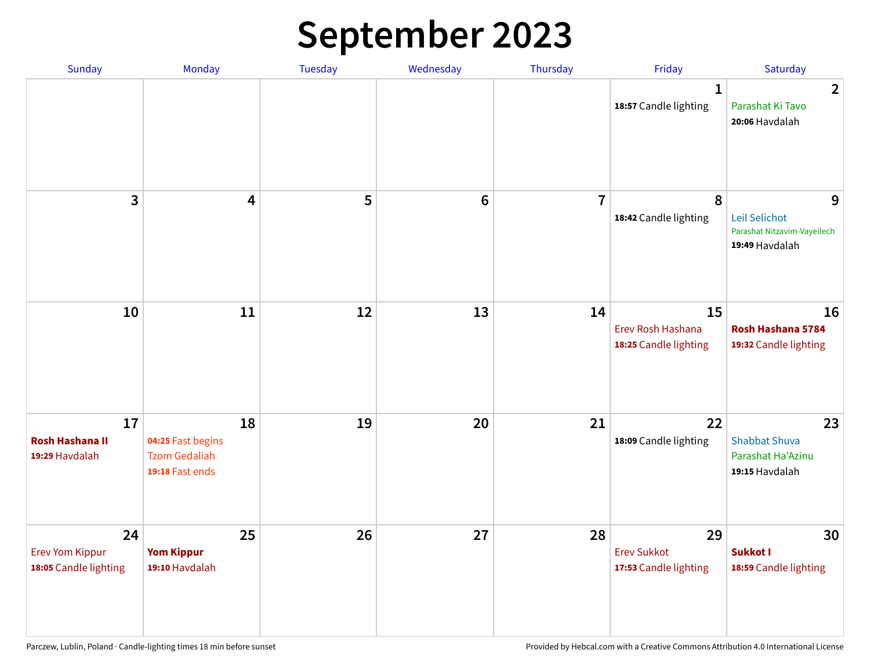# **September 2023**

| Sunday                                                | Monday                                                             | Tuesday | Wednesday       | Thursday       | Friday                                            | Saturday                                                            |
|-------------------------------------------------------|--------------------------------------------------------------------|---------|-----------------|----------------|---------------------------------------------------|---------------------------------------------------------------------|
|                                                       |                                                                    |         |                 |                | 1<br>18:57 Candle lighting                        | $\overline{2}$<br>Parashat Ki Tavo<br>20:06 Havdalah                |
| 3                                                     | $\overline{\mathbf{4}}$                                            | 5       | $6\phantom{1}6$ | $\overline{7}$ | 8<br>18:42 Candle lighting                        | 9<br>Leil Selichot<br>Parashat Nitzavim-Vayeilech<br>19:49 Havdalah |
| 10                                                    | 11                                                                 | 12      | 13              | 14             | 15<br>Erev Rosh Hashana<br>18:25 Candle lighting  | 16<br>Rosh Hashana 5784<br>19:32 Candle lighting                    |
| 17<br><b>Rosh Hashana II</b><br>19:29 Havdalah        | 18<br>04:25 Fast begins<br><b>Tzom Gedaliah</b><br>19:18 Fast ends | 19      | 20              | 21             | 22<br>18:09 Candle lighting                       | 23<br><b>Shabbat Shuva</b><br>Parashat Ha'Azinu<br>19:15 Havdalah   |
| 24<br><b>Erev Yom Kippur</b><br>18:05 Candle lighting | 25<br><b>Yom Kippur</b><br>19:10 Havdalah                          | 26      | 27              | 28             | 29<br><b>Erev Sukkot</b><br>17:53 Candle lighting | 30<br><b>Sukkot I</b><br>18:59 Candle lighting                      |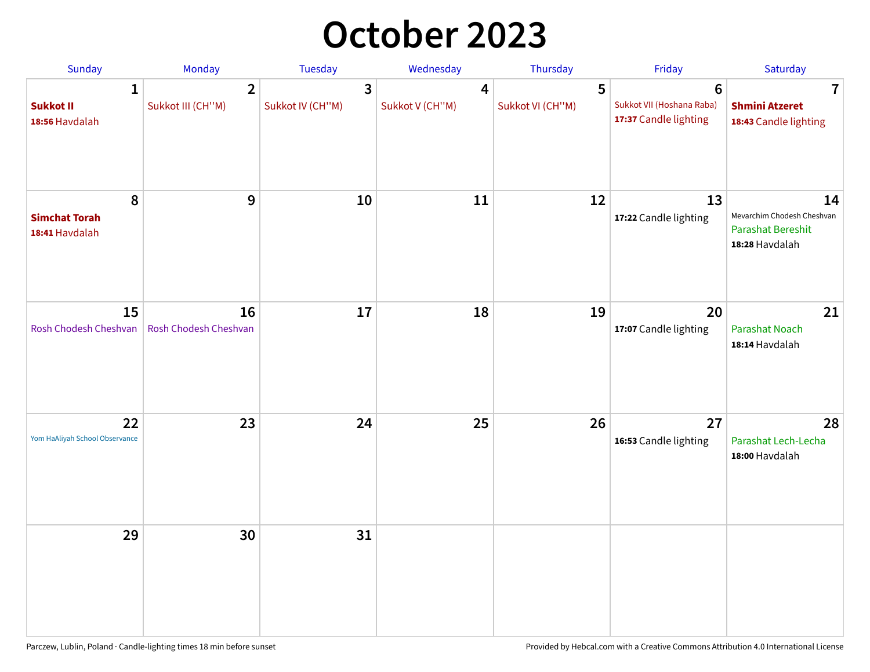## **October 2023**

| Sunday                                             | <b>Monday</b>                       | <b>Tuesday</b>        | Wednesday            | Thursday              | Friday                                                               | Saturday                                                                       |
|----------------------------------------------------|-------------------------------------|-----------------------|----------------------|-----------------------|----------------------------------------------------------------------|--------------------------------------------------------------------------------|
| $\mathbf{1}$<br><b>Sukkot II</b><br>18:56 Havdalah | $\overline{2}$<br>Sukkot III (CH"M) | 3<br>Sukkot IV (CH"M) | 4<br>Sukkot V (CH"M) | 5<br>Sukkot VI (CH"M) | $6\phantom{1}$<br>Sukkot VII (Hoshana Raba)<br>17:37 Candle lighting | 7<br><b>Shmini Atzeret</b><br>18:43 Candle lighting                            |
| 8<br><b>Simchat Torah</b><br>18:41 Havdalah        | $\boldsymbol{9}$                    | 10                    | 11                   | 12                    | 13<br>17:22 Candle lighting                                          | 14<br>Mevarchim Chodesh Cheshvan<br><b>Parashat Bereshit</b><br>18:28 Havdalah |
| 15<br>Rosh Chodesh Cheshvan                        | 16<br>Rosh Chodesh Cheshvan         | 17                    | 18                   | 19                    | 20<br>17:07 Candle lighting                                          | 21<br>Parashat Noach<br>18:14 Havdalah                                         |
| 22<br>Yom HaAliyah School Observance               | 23                                  | 24                    | 25                   | 26                    | 27<br>16:53 Candle lighting                                          | 28<br>Parashat Lech-Lecha<br>18:00 Havdalah                                    |
| 29                                                 | 30                                  | 31                    |                      |                       |                                                                      |                                                                                |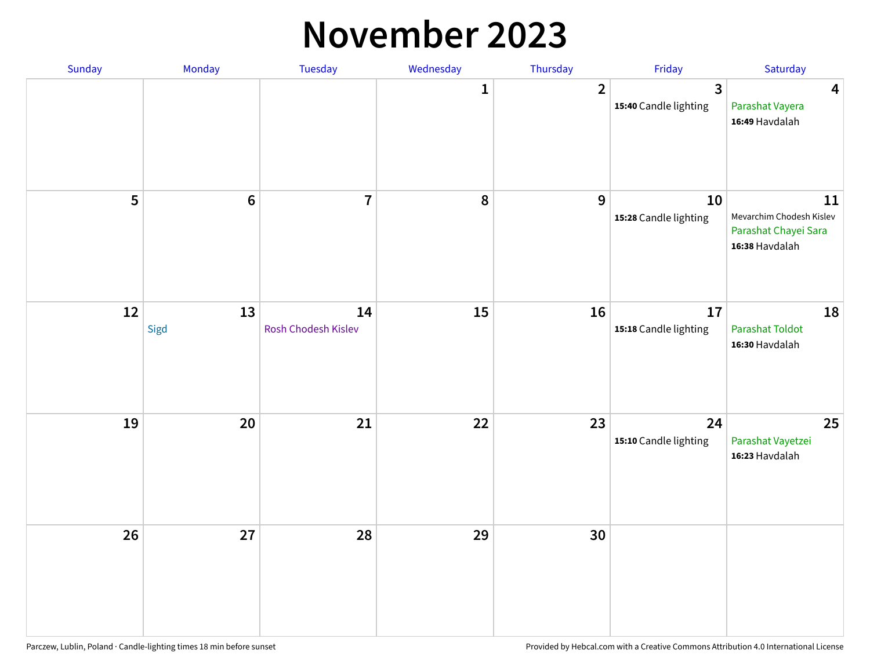#### **November 2023**

| Sunday | Monday         | Tuesday                   | Wednesday    | Thursday         | Friday                                  | Saturday                                                                 |
|--------|----------------|---------------------------|--------------|------------------|-----------------------------------------|--------------------------------------------------------------------------|
|        |                |                           | $\mathbf{1}$ | $\overline{2}$   | $\overline{3}$<br>15:40 Candle lighting | $\overline{\mathbf{4}}$<br>Parashat Vayera<br>16:49 Havdalah             |
| 5      | $6\phantom{a}$ | $\overline{7}$            | ${\bf 8}$    | $\boldsymbol{9}$ | 10<br>15:28 Candle lighting             | 11<br>Mevarchim Chodesh Kislev<br>Parashat Chayei Sara<br>16:38 Havdalah |
| 12     | 13<br>Sigd     | 14<br>Rosh Chodesh Kislev | 15           | 16               | 17<br>15:18 Candle lighting             | 18<br><b>Parashat Toldot</b><br>16:30 Havdalah                           |
| 19     | 20             | 21                        | 22           | 23               | 24<br>15:10 Candle lighting             | 25<br>Parashat Vayetzei<br>16:23 Havdalah                                |
| 26     | 27             | 28                        | 29           | 30               |                                         |                                                                          |